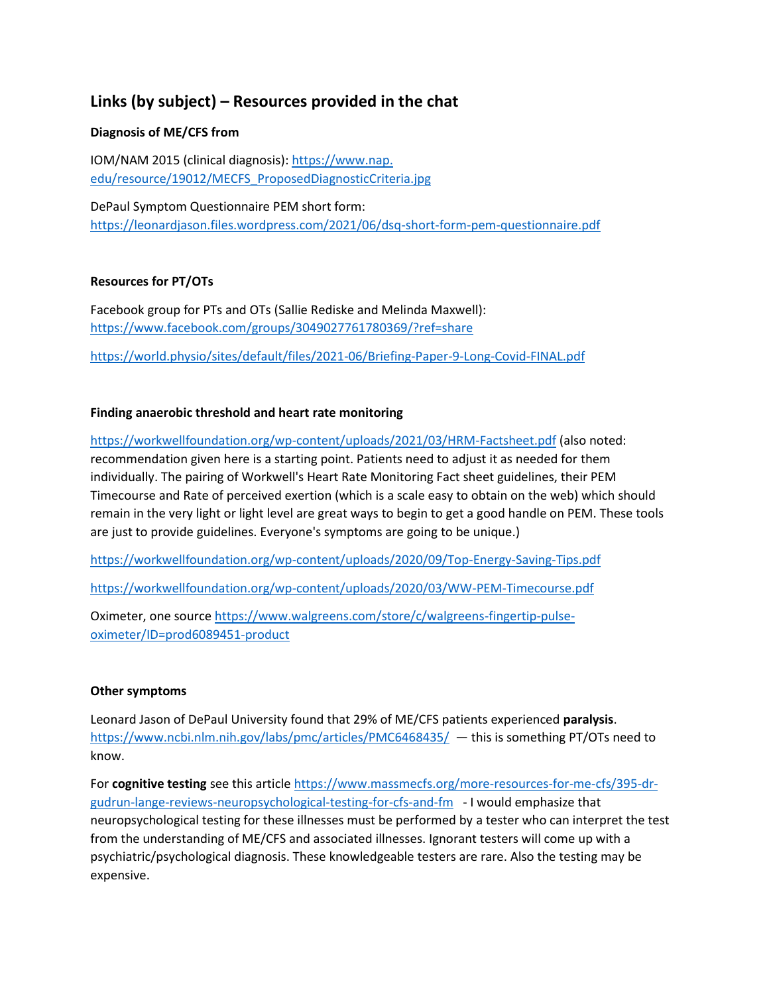# **Links (by subject) – Resources provided in the chat**

# **Diagnosis of ME/CFS from**

IOM/NAM 2015 (clinical diagnosis): https://www.nap. edu/resource/19012/MECFS\_ProposedDiagnosticCriteria.jpg

DePaul Symptom Questionnaire PEM short form: <https://leonardjason.files.wordpress.com/2021/06/dsq-short-form-pem-questionnaire.pdf>

## **Resources for PT/OTs**

Facebook group for PTs and OTs (Sallie Rediske and Melinda Maxwell): <https://www.facebook.com/groups/3049027761780369/?ref=share>

<https://world.physio/sites/default/files/2021-06/Briefing-Paper-9-Long-Covid-FINAL.pdf>

## **Finding anaerobic threshold and heart rate monitoring**

<https://workwellfoundation.org/wp-content/uploads/2021/03/HRM-Factsheet.pdf> (also noted: recommendation given here is a starting point. Patients need to adjust it as needed for them individually. The pairing of Workwell's Heart Rate Monitoring Fact sheet guidelines, their PEM Timecourse and Rate of perceived exertion (which is a scale easy to obtain on the web) which should remain in the very light or light level are great ways to begin to get a good handle on PEM. These tools are just to provide guidelines. Everyone's symptoms are going to be unique.)

<https://workwellfoundation.org/wp-content/uploads/2020/09/Top-Energy-Saving-Tips.pdf>

<https://workwellfoundation.org/wp-content/uploads/2020/03/WW-PEM-Timecourse.pdf>

Oximeter, one source [https://www.walgreens.com/store/c/walgreens-fingertip-pulse](https://www.walgreens.com/store/c/walgreens-fingertip-pulse-oximeter/ID=prod6089451-product)[oximeter/ID=prod6089451-product](https://www.walgreens.com/store/c/walgreens-fingertip-pulse-oximeter/ID=prod6089451-product)

#### **Other symptoms**

Leonard Jason of DePaul University found that 29% of ME/CFS patients experienced **paralysis**. <https://www.ncbi.nlm.nih.gov/labs/pmc/articles/PMC6468435/>— this is something PT/OTs need to know.

For **cognitive testing** see this article [https://www.massmecfs.org/more-resources-for-me-cfs/395-dr](https://www.massmecfs.org/more-resources-for-me-cfs/395-dr-gudrun-lange-reviews-neuropsychological-testing-for-cfs-and-fm)[gudrun-lange-reviews-neuropsychological-testing-for-cfs-and-fm](https://www.massmecfs.org/more-resources-for-me-cfs/395-dr-gudrun-lange-reviews-neuropsychological-testing-for-cfs-and-fm) - I would emphasize that neuropsychological testing for these illnesses must be performed by a tester who can interpret the test from the understanding of ME/CFS and associated illnesses. Ignorant testers will come up with a psychiatric/psychological diagnosis. These knowledgeable testers are rare. Also the testing may be expensive.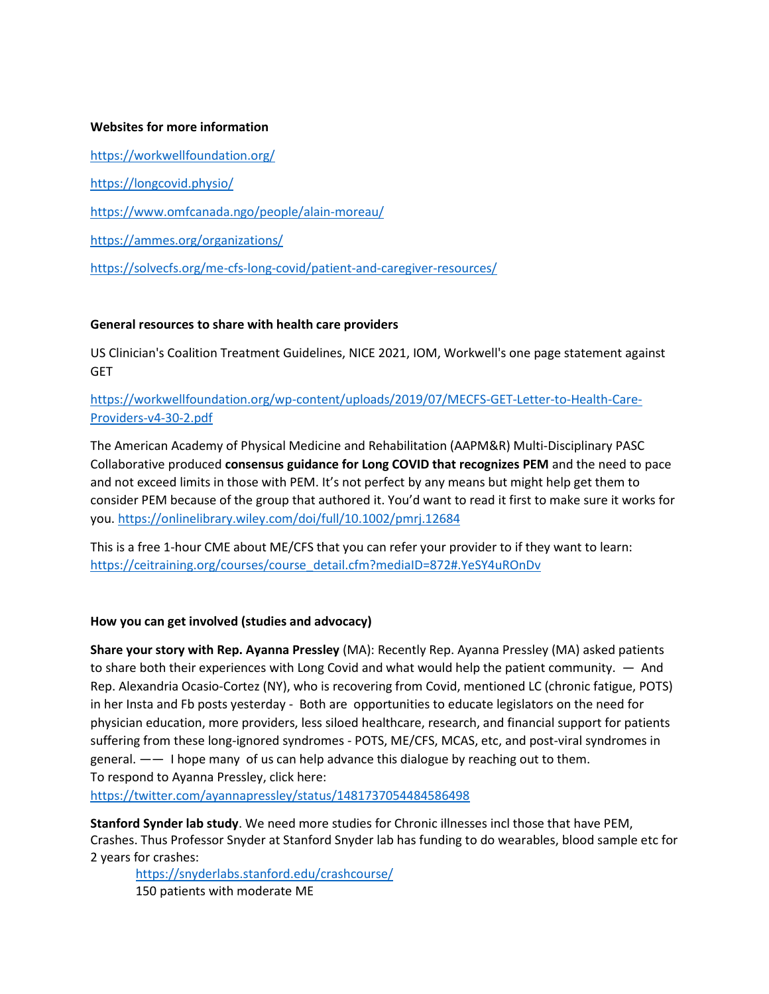#### **Websites for more information**

<https://workwellfoundation.org/> <https://longcovid.physio/> <https://www.omfcanada.ngo/people/alain-moreau/> <https://ammes.org/organizations/> <https://solvecfs.org/me-cfs-long-covid/patient-and-caregiver-resources/>

#### **General resources to share with health care providers**

US Clinician's Coalition Treatment Guidelines, NICE 2021, IOM, Workwell's one page statement against **GET** 

# [https://workwellfoundation.org/wp-content/uploads/2019/07/MECFS-GET-Letter-to-Health-Care-](https://workwellfoundation.org/wp-content/uploads/2019/07/MECFS-GET-Letter-to-Health-Care-Providers-v4-30-2.pdf)[Providers-v4-30-2.pdf](https://workwellfoundation.org/wp-content/uploads/2019/07/MECFS-GET-Letter-to-Health-Care-Providers-v4-30-2.pdf)

The American Academy of Physical Medicine and Rehabilitation (AAPM&R) Multi-Disciplinary PASC Collaborative produced **consensus guidance for Long COVID that recognizes PEM** and the need to pace and not exceed limits in those with PEM. It's not perfect by any means but might help get them to consider PEM because of the group that authored it. You'd want to read it first to make sure it works for you.<https://onlinelibrary.wiley.com/doi/full/10.1002/pmrj.12684>

This is a free 1-hour CME about ME/CFS that you can refer your provider to if they want to learn: [https://ceitraining.org/courses/course\\_detail.cfm?mediaID=872#.YeSY4uROnDv](https://ceitraining.org/courses/course_detail.cfm?mediaID=872#.YeSY4uROnDv)

#### **How you can get involved (studies and advocacy)**

**Share your story with Rep. Ayanna Pressley** (MA): Recently Rep. Ayanna Pressley (MA) asked patients to share both their experiences with Long Covid and what would help the patient community. — And Rep. Alexandria Ocasio-Cortez (NY), who is recovering from Covid, mentioned LC (chronic fatigue, POTS) in her Insta and Fb posts yesterday - Both are opportunities to educate legislators on the need for physician education, more providers, less siloed healthcare, research, and financial support for patients suffering from these long-ignored syndromes - POTS, ME/CFS, MCAS, etc, and post-viral syndromes in general. —— I hope many of us can help advance this dialogue by reaching out to them. To respond to Ayanna Pressley, click here:

<https://twitter.com/ayannapressley/status/1481737054484586498>

**Stanford Synder lab study**. We need more studies for Chronic illnesses incl those that have PEM, Crashes. Thus Professor Snyder at Stanford Snyder lab has funding to do wearables, blood sample etc for 2 years for crashes:

<https://snyderlabs.stanford.edu/crashcourse/> 150 patients with moderate ME